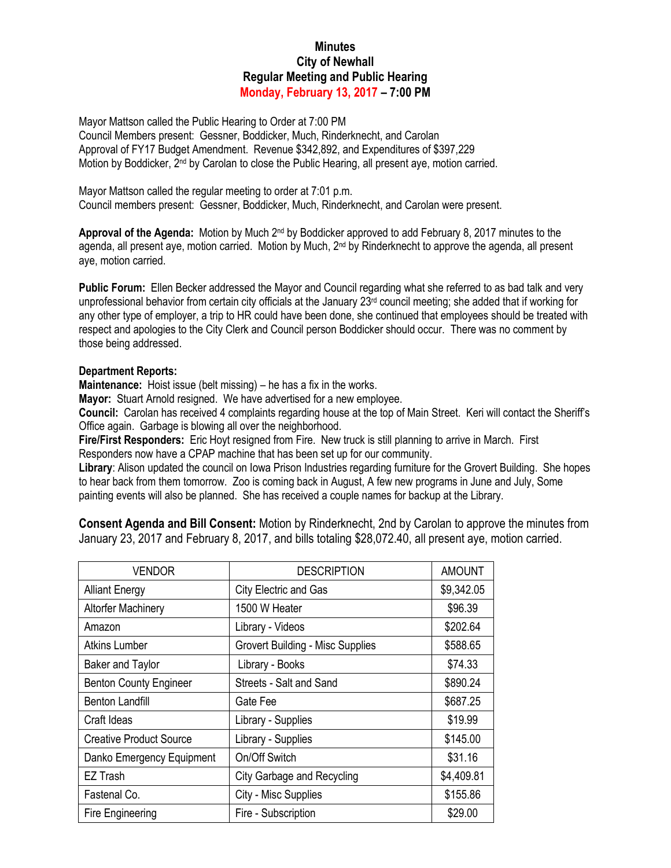## **Minutes City of Newhall Regular Meeting and Public Hearing Monday, February 13, 2017 – 7:00 PM**

Mayor Mattson called the Public Hearing to Order at 7:00 PM Council Members present: Gessner, Boddicker, Much, Rinderknecht, and Carolan Approval of FY17 Budget Amendment. Revenue \$342,892, and Expenditures of \$397,229 Motion by Boddicker, 2nd by Carolan to close the Public Hearing, all present aye, motion carried.

Mayor Mattson called the regular meeting to order at 7:01 p.m. Council members present: Gessner, Boddicker, Much, Rinderknecht, and Carolan were present.

Approval of the Agenda: Motion by Much 2<sup>nd</sup> by Boddicker approved to add February 8, 2017 minutes to the agenda, all present aye, motion carried. Motion by Much, 2<sup>nd</sup> by Rinderknecht to approve the agenda, all present aye, motion carried.

**Public Forum:** Ellen Becker addressed the Mayor and Council regarding what she referred to as bad talk and very unprofessional behavior from certain city officials at the January 23<sup>rd</sup> council meeting; she added that if working for any other type of employer, a trip to HR could have been done, she continued that employees should be treated with respect and apologies to the City Clerk and Council person Boddicker should occur. There was no comment by those being addressed.

## **Department Reports:**

**Maintenance:** Hoist issue (belt missing) – he has a fix in the works.

**Mayor:** Stuart Arnold resigned. We have advertised for a new employee.

**Council:** Carolan has received 4 complaints regarding house at the top of Main Street. Keri will contact the Sheriff's Office again. Garbage is blowing all over the neighborhood.

**Fire/First Responders:** Eric Hoyt resigned from Fire. New truck is still planning to arrive in March. First Responders now have a CPAP machine that has been set up for our community.

**Library**: Alison updated the council on Iowa Prison Industries regarding furniture for the Grovert Building. She hopes to hear back from them tomorrow. Zoo is coming back in August, A few new programs in June and July, Some painting events will also be planned. She has received a couple names for backup at the Library.

**Consent Agenda and Bill Consent:** Motion by Rinderknecht, 2nd by Carolan to approve the minutes from January 23, 2017 and February 8, 2017, and bills totaling \$28,072.40, all present aye, motion carried.

| <b>VENDOR</b>                  | <b>DESCRIPTION</b>                      | <b>AMOUNT</b> |
|--------------------------------|-----------------------------------------|---------------|
| <b>Alliant Energy</b>          | City Electric and Gas                   | \$9,342.05    |
| <b>Altorfer Machinery</b>      | 1500 W Heater                           | \$96.39       |
| Amazon                         | Library - Videos                        | \$202.64      |
| <b>Atkins Lumber</b>           | <b>Grovert Building - Misc Supplies</b> | \$588.65      |
| <b>Baker and Taylor</b>        | Library - Books                         | \$74.33       |
| <b>Benton County Engineer</b>  | Streets - Salt and Sand                 | \$890.24      |
| <b>Benton Landfill</b>         | Gate Fee                                | \$687.25      |
| Craft Ideas                    | Library - Supplies                      | \$19.99       |
| <b>Creative Product Source</b> | Library - Supplies                      | \$145.00      |
| Danko Emergency Equipment      | On/Off Switch                           | \$31.16       |
| EZ Trash                       | <b>City Garbage and Recycling</b>       | \$4,409.81    |
| Fastenal Co.                   | City - Misc Supplies                    | \$155.86      |
| Fire Engineering               | Fire - Subscription                     | \$29.00       |